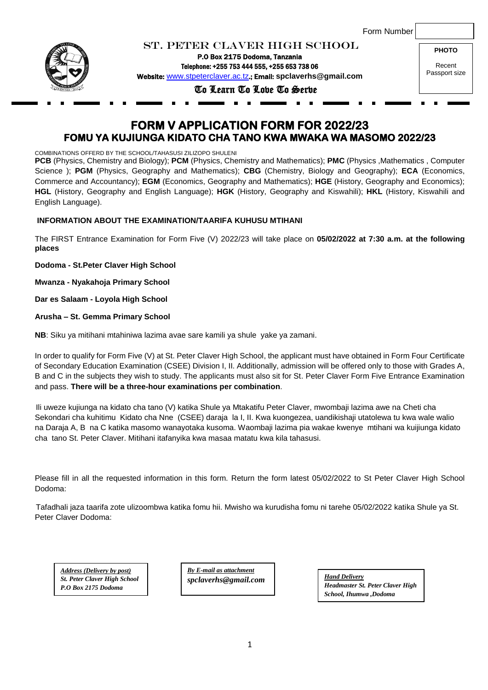|  | Form Number |
|--|-------------|
|--|-------------|



ST. PETER CLAVER HIGH SCHOOL P.O Box 2175 Dodoma, Tanzania

Telephone: +255 753 444 555, +255 653 738 06 Website: [www.stpeterclaver.ac.tz](http://www.stpeterclaver.ac.tz/).; Email: **spclaverhs@gmail.com**

To Learn To Love To Serve

**PHOTO** Recent Passport size

# **FORM V APPLICATION FORM FOR 2022/23 FOMU YA KUJIUNGA KIDATO CHA TANO KWA MWAKA WA MASOMO 2022/23**

COMBINATIONS OFFERD BY THE SCHOOL/TAHASUSI ZILIZOPO SHULENI

**PCB** (Physics, Chemistry and Biology); **PCM** (Physics, Chemistry and Mathematics); **PMC** (Physics, Mathematics , Computer Science ); **PGM** (Physics, Geography and Mathematics); **CBG** (Chemistry, Biology and Geography); **ECA** (Economics, Commerce and Accountancy); **EGM** (Economics, Geography and Mathematics); **HGE** (History, Geography and Economics); **HGL** (History, Geography and English Language); **HGK** (History, Geography and Kiswahili); **HKL** (History, Kiswahili and English Language).

# **INFORMATION ABOUT THE EXAMINATION/TAARIFA KUHUSU MTIHANI**

The FIRST Entrance Examination for Form Five (V) 2022/23 will take place on **05/02/2022 at 7:30 a.m. at the following places**

**Dodoma - St.Peter Claver High School**

**Mwanza - Nyakahoja Primary School**

**Dar es Salaam - Loyola High School**

**Arusha – St. Gemma Primary School** 

**NB**: Siku ya mitihani mtahiniwa lazima avae sare kamili ya shule yake ya zamani.

In order to qualify for Form Five (V) at St. Peter Claver High School, the applicant must have obtained in Form Four Certificate of Secondary Education Examination (CSEE) Division I, II. Additionally, admission will be offered only to those with Grades A, B and C in the subjects they wish to study. The applicants must also sit for St. Peter Claver Form Five Entrance Examination and pass. **There will be a three-hour examinations per combination**.

 Ili uweze kujiunga na kidato cha tano (V) katika Shule ya Mtakatifu Peter Claver, mwombaji lazima awe na Cheti cha Sekondari cha kuhitimu Kidato cha Nne (CSEE) daraja la I, II. Kwa kuongezea, uandikishaji utatolewa tu kwa wale walio na Daraja A, B na C katika masomo wanayotaka kusoma. Waombaji lazima pia wakae kwenye mtihani wa kuijiunga kidato cha tano St. Peter Claver. Mitihani itafanyika kwa masaa matatu kwa kila tahasusi.

Please fill in all the requested information in this form. Return the form latest 05/02/2022 to St Peter Claver High School Dodoma:

 Tafadhali jaza taarifa zote ulizoombwa katika fomu hii. Mwisho wa kurudisha fomu ni tarehe 05/02/2022 katika Shule ya St. Peter Claver Dodoma:

*Address (Delivery by post) St. Peter Claver High School P.O Box 2175 Dodoma*

*By E-mail as attachment spclaverhs@gmail.com* 

*Hand Delivery Headmaster St. Peter Claver High School, Ihumwa ,Dodoma*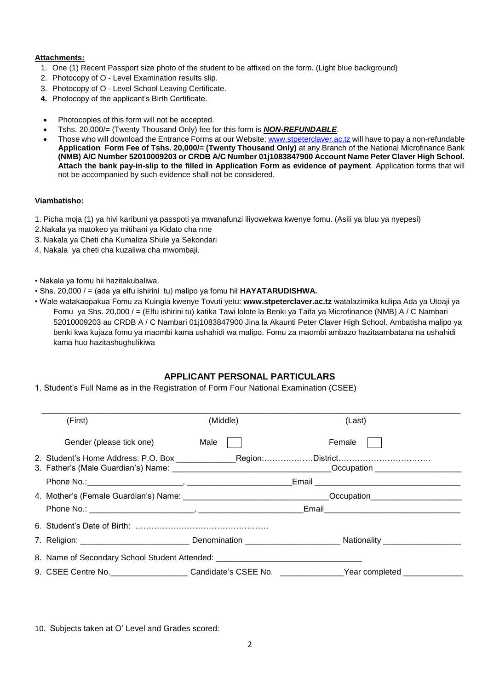## **Attachments:**

- 1. One (1) Recent Passport size photo of the student to be affixed on the form. (Light blue background)
- 2. Photocopy of O Level Examination results slip.
- 3. Photocopy of O Level School Leaving Certificate.
- **4.** Photocopy of the applicant's Birth Certificate.
- Photocopies of this form will not be accepted.
- Tshs. 20,000/= (Twenty Thousand Only) fee for this form is *NON-REFUNDABLE.*
- Those who will download the Entrance Forms at our Website[: www.stpeterclaver.ac.tz](http://www.stpeterclaver.ac.tz/) will have to pay a non-refundable **Application Form Fee of Tshs. 20,000/= (Twenty Thousand Only)** at any Branch of the National Microfinance Bank **(NMB) A/C Number 52010009203 or CRDB A/C Number 01j1083847900 Account Name Peter Claver High School. Attach the bank pay-in-slip to the filled in Application Form as evidence of payment**. Application forms that will not be accompanied by such evidence shall not be considered.

#### **Viambatisho:**

- 1. Picha moja (1) ya hivi karibuni ya passpoti ya mwanafunzi iliyowekwa kwenye fomu. (Asili ya bluu ya nyepesi)
- 2.Nakala ya matokeo ya mitihani ya Kidato cha nne
- 3. Nakala ya Cheti cha Kumaliza Shule ya Sekondari
- 4. Nakala ya cheti cha kuzaliwa cha mwombaji.
- Nakala ya fomu hii hazitakubaliwa.
- Shs. 20,000 / = (ada ya elfu ishirini tu) malipo ya fomu hii **HAYATARUDISHWA.**
- Wale watakaopakua Fomu za Kuingia kwenye Tovuti yetu: **www.stpeterclaver.ac.tz** watalazimika kulipa Ada ya Utoaji ya Fomu ya Shs. 20,000 / = (Elfu ishirini tu) katika Tawi lolote la Benki ya Taifa ya Microfinance (NMB) A / C Nambari 52010009203 au CRDB A / C Nambari 01j1083847900 Jina la Akaunti Peter Claver High School. Ambatisha malipo ya benki kwa kujaza fomu ya maombi kama ushahidi wa malipo. Fomu za maombi ambazo hazitaambatana na ushahidi kama huo hazitashughulikiwa

# **APPLICANT PERSONAL PARTICULARS**

1. Student's Full Name as in the Registration of Form Four National Examination (CSEE)

|  | (First)                                                                          | (Middle) | (Last)                                                                                                         |  |  |  |  |
|--|----------------------------------------------------------------------------------|----------|----------------------------------------------------------------------------------------------------------------|--|--|--|--|
|  | Gender (please tick one) Male                                                    |          | Female                                                                                                         |  |  |  |  |
|  |                                                                                  |          | 2. Student's Home Address: P.O. Box ________________Region:District                                            |  |  |  |  |
|  |                                                                                  |          |                                                                                                                |  |  |  |  |
|  |                                                                                  |          | 4. Mother's (Female Guardian's) Name: __________________________________Occupation_______________________      |  |  |  |  |
|  |                                                                                  |          |                                                                                                                |  |  |  |  |
|  |                                                                                  |          |                                                                                                                |  |  |  |  |
|  |                                                                                  |          | 7. Religion: _______________________________Denomination ________________________Nationality _________________ |  |  |  |  |
|  | 8. Name of Secondary School Student Attended: __________________________________ |          |                                                                                                                |  |  |  |  |
|  |                                                                                  |          | 9. CSEE Centre No. ___________________Candidate's CSEE No. ______________Year completed ___________            |  |  |  |  |

10. Subjects taken at O' Level and Grades scored: